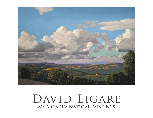

# DAVID LIGARE My Arcadia: Pastoral Paintings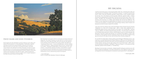I first came across this idea by way of the French/Italian painter, Nicolas Poussin's painting "Shepherds at a Tomb, (Et In Arcadia Ego)," 1640, in which three shepherds and a shepherdess gather around a tomb and point to the words, "Et In Arcadia Ego," meaning "here am I (death) in this ideal and beautiful place (Arcadia)." The real location of Arcadia is on the Pelopennesian peninsula in Greece. Like Monterey County it's a lovely landscape with agriculture, mountains, forests and seacoast. It's a confluence that happens in Italy as well as California. These qualities and their inhabitants make for the myths that emerged so long ago and continue to this day, at times, like the Salinas River, flowing underground. California-cool culture. While there are many distinct

structure first employed by the Greek poet Theocritus and the Roman poet, Virgil. In their books, "The Idylls" and "The Eclogues" they describe the pasturage for sheep, goats, cows and those who tend them as a median space between the city and the wilderness. The tradition of rustic shepherds and shepherdesses has lasted for over two thousand years and In that time has resulted in countless poems and paintings evoking a place of peace and  $E = \frac{1}{2}$  and the nastes in the potential potential  $E = \frac{1}{2}$ beauty but one that humanly is aware of its mortality. I lived for almost thirty years on the broad shoulders of Mt. Toro, overlooking the valley and rolling hills that John Steinbeck called "The Pastures of Heaven" in a book he wrote by that name in 1932. In the story, Steinbeck describes a perfect place in which imperfect people live and die. This is the essence of what has been called the "pastoral mode," a literary

For me there has always been a literary quality to the landscape of Monterey County. I was If of the there has always been a herary quanty to the landscape of Monterey Gourty. Thus<br>lured here in my early twenties by the writings of Robinson Jeffers and John Steinbeck. Both authors described the settings for their poems and stories elegiacally or as serious reflections of their symbolic meaning, say the tragic duality of the rock and the hawk in Jeffers' poem and the paradoxical landscape in Steinbeck's "Pastures of Heaven" or the spring and dark cypresses, symbols of life and death, in "The Red Pony."

> Monterey County has been my Arcadia, a deeply beautiful landscape sometimes even with flocks of sheep and shepherds. It has been protected from short-sighted ruination by laws and regulations that limit development and preserve sacred spaces like Pt. Lobos/Big Sur.

> > — David Ligare, 2020

Both Steinbeck's and Ligare's California landscapes are sharply etched and deeply felt. This matter of seeing is no mean task, for it involves a kind of double vision; keen sight and insight. Artist and writer pay rapt attention to the changing colors of California hills--tawny, golden, sear. Both love "dumpling summer clouds," "round comfortable oaks," and hills "bathed in pale cold sunshine." Ligare's paintings capture his own "wonder of light on an object." Steinbeck's *Cannery Row* is a place that exists in the "hour of pearl," a time between darkness and dawn, a time bathed in mystery. In a Ligare painting and a Steinbeck novel, the perceiving eye and the human heart are joined so that familiar landscapes and ordinary light are transformed, our own understanding of place reconfigured.

—Susan Shillinglaw, Author of *Carol & John Steinbeck: Portrait of a Marriage*

## MY ARCADIA

David Ligare's and John Steinbeck's visionary California is lush, edenic and pastoral. But the pastoral is a tricky designation. Traditionally, it signifies cultivated and harmonious space between wilderness and civilization. When the world is too much with us, the pastoral soothes. Cultivated nature restores sanity. We bend our knees. Find solace. To look at a Ligare painting seems an act of sanity, just as reading Steinbeck's descriptions of the land connect us to the haunted beauty of Central California. Even when California hills are bathed in late afternoon light—Ligare's favored time- change hovers. Steinbeck's narrative is Ligare's vision: we gaze longingly at the ideal, knowing it's elusive, that light fades.



### David Ligare and John Steinbeck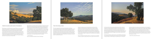

#### fine art movements unique to our state such as PASIORAL IDEA

The term conceptual art may not come immediately to mind upon encountering David Ligare's splendid landscapes. But take another moment and look more closely. Ligare is a man of enormous intellectual curiosity, whose work arises from deep wells of cultural scholarship. The artistic and philosophical models of the Classical world of Greece and Rome create the framework on which all of his artwork rests, but within it he has fashioned, by way of 17th century France, exquisite depictions of that central California landscape celebrated by writer John Steinbeck as "the pastures of heaven," where he resided for thirty years.

17th century French artists he particularly admires; the other is Nicholas Poussin), in whose paintings the far distance is nearly always indicated. He feels that it is philosophically important to have a foreground, middle ground, and a great distance in his work. He models his landscapes on these holistic ideals, setting out an effortless passage through a scene, as in the recent *Corral de Tierra* (2020), where we can wander among rolling hills and valleys dotted with trees, and gaze to the far horizon under luminous afternoon skies.



Both Steinbeck's and Ligare's California landscapes are sharply etched and deeply felt. This matter of seeing is no mean task, for it involves a kind of double vision; keen sight and insight. Artist and writer pay rapt attention to the changing colors of California hills--tawny, golden, sear. Both love "dumpling summer clouds," "round comfortable oaks," and hills "bathed in pale cold sunshine." Ligare's paintings capture his own "wonder of light on an object." Steinbeck's *Cannery Row* is a place that exists in the "hour of pearl," a time between darkness and dawn, a time bathed in mystery. In a Ligare painting and a Steinbeck novel, the perceiving eye and the human heart are joined so that familiar landscapes and ordinary light are transformed, our own understanding of place reconfigured.

A piece of conceptual art is one driven by a powerful idea, but this component often overwhelms its artistry. Not so in Ligare's art, where the two work in tandem. In Classical Greece, (and in the arts of China, which Ligare has also studied), appreciation of aesthetic values implies a balanced human life. The Greek triad of truth, goodness, and beauty (or thoughtfulness, skill, and beauty, as he names them) are inextricably linked to the concept of wholeness, and it is this idea, together with the transitory nature of time, that Ligare investigates and consistently works to emphasize in his paintings.

Ligare orchestrates his landscapes with care. "I like to give you someplace to stand," he explains, taking inspiration from Claude Lorrain (one of two

The luminosity inherent in Ligare's work is one of its defining characteristics. He is attuned to the slanting rays of the liminal hour, when at the threshold of day and night (or metaphorically, life and death), the air is infused with

an ephemeral glow. He recreates that aura seamlessly, in the long purple shadows and golden shimmer that illuminates the distant ridges in *Pastures of Heaven* (2019), and sets trunks of trees and even blades of grass ablaze in *The Preserve* (2020). The soft but dwindling light bestows a subtle reminder that even in the midst of great beauty, human life—like time, is fleeting. This pastoral land and its surrounding coastline were beloved by both John Steinbeck and the poet Robinson Jeffers as a place of inspiration and solace. As they paid homage to it in words so David Ligare has done, with equal honor, in paint.

—Helaine Glick, Independent Curator

—Susan Shillinglaw, Author of *Carol & John Steinbeck: Portrait of a Marriage*

David Ligare's and John Steinbeck's visionary California is lush, edenic and pastoral. But the pastoral is a tricky designation. Traditionally, it signifies cultivated and harmonious space between wilderness and civilization. When the world is too much with us, the pastoral soothes. Cultivated nature restores sanity. We bend our knees. Find solace. To look at a Ligare painting seems an act of sanity, just as reading Steinbeck's descriptions of the land connect us to the haunted beauty of Central California. Even when California hills are bathed in late afternoon light—Ligare's favored time- change hovers. Steinbeck's narrative is Ligare's vision: we gaze longingly at the ideal, knowing it's elusive, that light fades.



### David Ligare and John Steinbeck